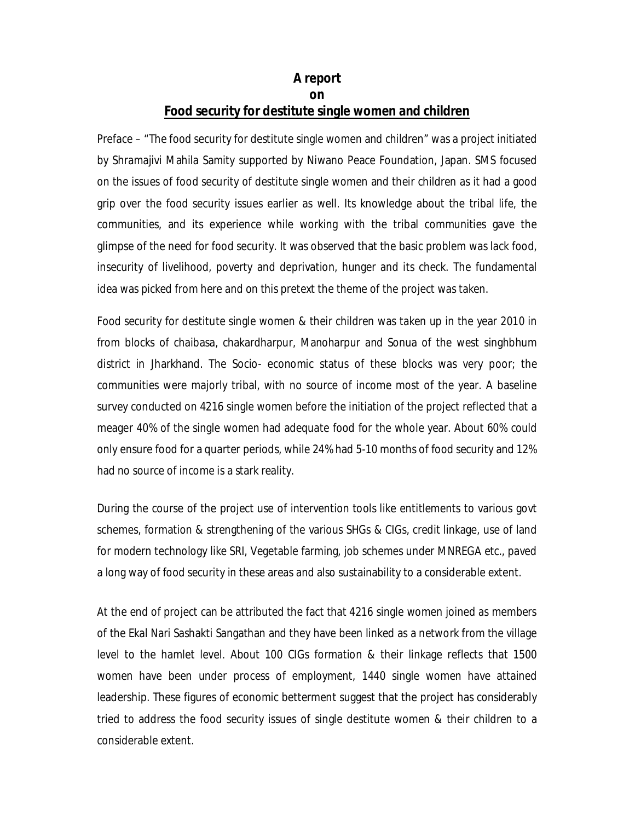## **A report on Food security for destitute single women and children**

Preface – "The food security for destitute single women and children" was a project initiated by Shramajivi Mahila Samity supported by Niwano Peace Foundation, Japan. SMS focused on the issues of food security of destitute single women and their children as it had a good grip over the food security issues earlier as well. Its knowledge about the tribal life, the communities, and its experience while working with the tribal communities gave the glimpse of the need for food security. It was observed that the basic problem was lack food, insecurity of livelihood, poverty and deprivation, hunger and its check. The fundamental idea was picked from here and on this pretext the theme of the project was taken.

Food security for destitute single women & their children was taken up in the year 2010 in from blocks of chaibasa, chakardharpur, Manoharpur and Sonua of the west singhbhum district in Jharkhand. The Socio- economic status of these blocks was very poor; the communities were majorly tribal, with no source of income most of the year. A baseline survey conducted on 4216 single women before the initiation of the project reflected that a meager 40% of the single women had adequate food for the whole year. About 60% could only ensure food for a quarter periods, while 24% had 5-10 months of food security and 12% had no source of income is a stark reality.

During the course of the project use of intervention tools like entitlements to various govt schemes, formation & strengthening of the various SHGs & CIGs, credit linkage, use of land for modern technology like SRI, Vegetable farming, job schemes under MNREGA etc., paved a long way of food security in these areas and also sustainability to a considerable extent.

At the end of project can be attributed the fact that 4216 single women joined as members of the Ekal Nari Sashakti Sangathan and they have been linked as a network from the village level to the hamlet level. About 100 CIGs formation & their linkage reflects that 1500 women have been under process of employment, 1440 single women have attained leadership. These figures of economic betterment suggest that the project has considerably tried to address the food security issues of single destitute women & their children to a considerable extent.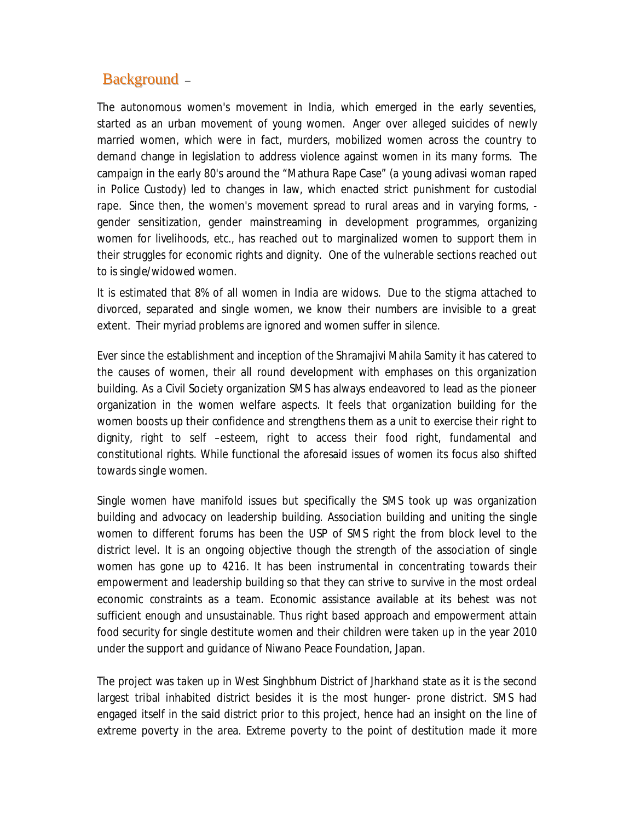# Background –

The autonomous women's movement in India, which emerged in the early seventies, started as an urban movement of young women. Anger over alleged suicides of newly married women, which were in fact, murders, mobilized women across the country to demand change in legislation to address violence against women in its many forms. The campaign in the early 80's around the "Mathura Rape Case" (a young adivasi woman raped in Police Custody) led to changes in law, which enacted strict punishment for custodial rape. Since then, the women's movement spread to rural areas and in varying forms, gender sensitization, gender mainstreaming in development programmes, organizing women for livelihoods, etc., has reached out to marginalized women to support them in their struggles for economic rights and dignity. One of the vulnerable sections reached out to is single/widowed women.

It is estimated that 8% of all women in India are widows. Due to the stigma attached to divorced, separated and single women, we know their numbers are invisible to a great extent. Their myriad problems are ignored and women suffer in silence.

Ever since the establishment and inception of the Shramajivi Mahila Samity it has catered to the causes of women, their all round development with emphases on this organization building. As a Civil Society organization SMS has always endeavored to lead as the pioneer organization in the women welfare aspects. It feels that organization building for the women boosts up their confidence and strengthens them as a unit to exercise their right to dignity, right to self –esteem, right to access their food right, fundamental and constitutional rights. While functional the aforesaid issues of women its focus also shifted towards single women.

Single women have manifold issues but specifically the SMS took up was organization building and advocacy on leadership building. Association building and uniting the single women to different forums has been the USP of SMS right the from block level to the district level. It is an ongoing objective though the strength of the association of single women has gone up to 4216. It has been instrumental in concentrating towards their empowerment and leadership building so that they can strive to survive in the most ordeal economic constraints as a team. Economic assistance available at its behest was not sufficient enough and unsustainable. Thus right based approach and empowerment attain food security for single destitute women and their children were taken up in the year 2010 under the support and guidance of Niwano Peace Foundation, Japan.

The project was taken up in West Singhbhum District of Jharkhand state as it is the second largest tribal inhabited district besides it is the most hunger- prone district. SMS had engaged itself in the said district prior to this project, hence had an insight on the line of extreme poverty in the area. Extreme poverty to the point of destitution made it more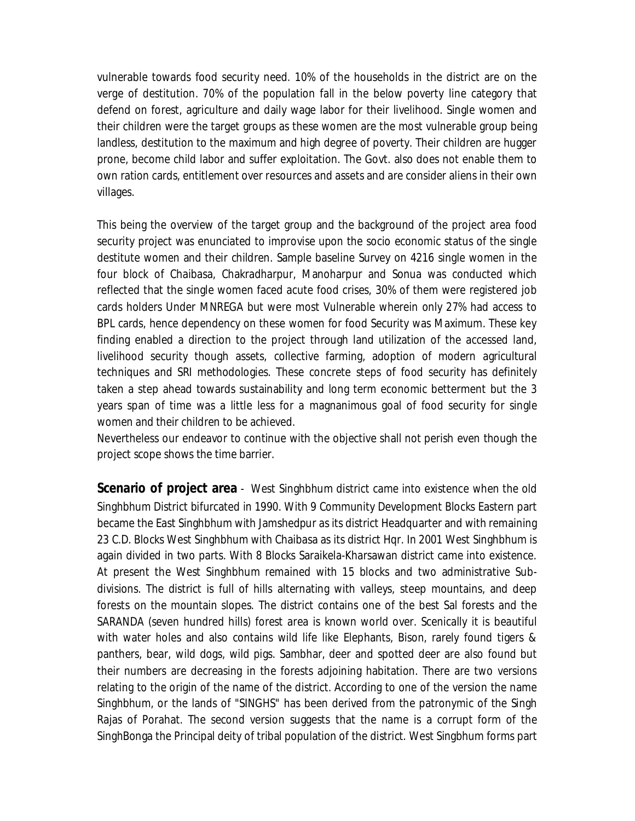vulnerable towards food security need. 10% of the households in the district are on the verge of destitution. 70% of the population fall in the below poverty line category that defend on forest, agriculture and daily wage labor for their livelihood. Single women and their children were the target groups as these women are the most vulnerable group being landless, destitution to the maximum and high degree of poverty. Their children are hugger prone, become child labor and suffer exploitation. The Govt. also does not enable them to own ration cards, entitlement over resources and assets and are consider aliens in their own villages.

This being the overview of the target group and the background of the project area food security project was enunciated to improvise upon the socio economic status of the single destitute women and their children. Sample baseline Survey on 4216 single women in the four block of Chaibasa, Chakradharpur, Manoharpur and Sonua was conducted which reflected that the single women faced acute food crises, 30% of them were registered job cards holders Under MNREGA but were most Vulnerable wherein only 27% had access to BPL cards, hence dependency on these women for food Security was Maximum. These key finding enabled a direction to the project through land utilization of the accessed land, livelihood security though assets, collective farming, adoption of modern agricultural techniques and SRI methodologies. These concrete steps of food security has definitely taken a step ahead towards sustainability and long term economic betterment but the 3 years span of time was a little less for a magnanimous goal of food security for single women and their children to be achieved.

Nevertheless our endeavor to continue with the objective shall not perish even though the project scope shows the time barrier.

**Scenario of project area** - West Singhbhum district came into existence when the old Singhbhum District bifurcated in 1990. With 9 Community Development Blocks Eastern part became the East Singhbhum with Jamshedpur as its district Headquarter and with remaining 23 C.D. Blocks West Singhbhum with Chaibasa as its district Hqr. In 2001 West Singhbhum is again divided in two parts. With 8 Blocks Saraikela-Kharsawan district came into existence. At present the West Singhbhum remained with 15 blocks and two administrative Subdivisions. The district is full of hills alternating with valleys, steep mountains, and deep forests on the mountain slopes. The district contains one of the best Sal forests and the SARANDA (seven hundred hills) forest area is known world over. Scenically it is beautiful with water holes and also contains wild life like Elephants, Bison, rarely found tigers & panthers, bear, wild dogs, wild pigs. Sambhar, deer and spotted deer are also found but their numbers are decreasing in the forests adjoining habitation. There are two versions relating to the origin of the name of the district. According to one of the version the name Singhbhum, or the lands of "SINGHS" has been derived from the patronymic of the Singh Rajas of Porahat. The second version suggests that the name is a corrupt form of the SinghBonga the Principal deity of tribal population of the district. West Singbhum forms part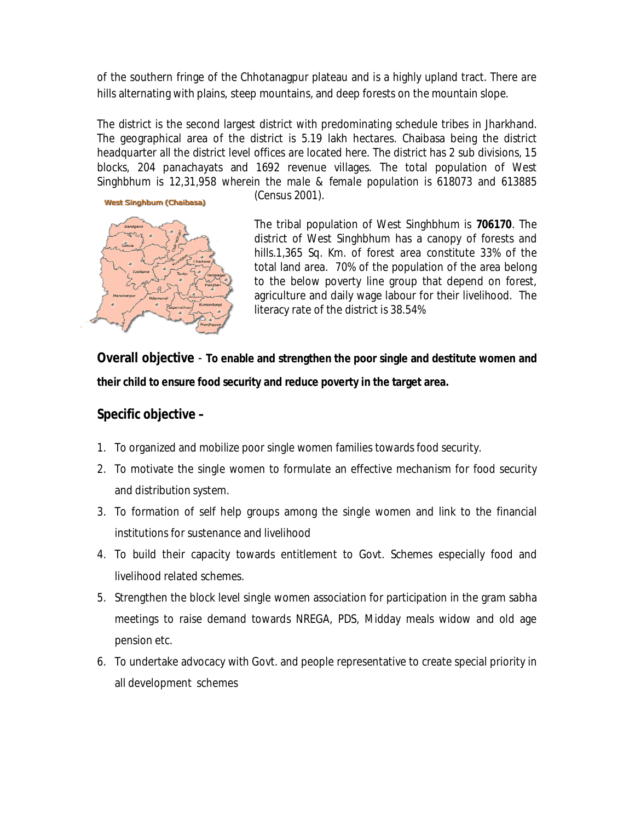of the southern fringe of the Chhotanagpur plateau and is a highly upland tract. There are hills alternating with plains, steep mountains, and deep forests on the mountain slope.

The district is the second largest district with predominating schedule tribes in Jharkhand. The geographical area of the district is 5.19 lakh hectares. Chaibasa being the district headquarter all the district level offices are located here. The district has 2 sub divisions, 15 blocks, 204 panachayats and 1692 revenue villages. The total population of West Singhbhum is *12,31,958 wherein the male & female population is* 618073 and 613885



(Census 2001).

The tribal population of West Singhbhum is *706170*. The district of West Singhbhum has a canopy of forests and hills.1,365 Sq. Km. of forest area constitute 33% of the total land area. 70% of the population of the area belong to the below poverty line group that depend on forest, agriculture and daily wage labour for their livelihood. The literacy rate of the district is 38.54%

**Overall objective** - **To enable and strengthen the poor single and destitute women and their child to ensure food security and reduce poverty in the target area.**

## **Specific objective –**

- 1. To organized and mobilize poor single women families towards food security.
- 2. To motivate the single women to formulate an effective mechanism for food security and distribution system.
- 3. To formation of self help groups among the single women and link to the financial institutions for sustenance and livelihood
- 4. To build their capacity towards entitlement to Govt. Schemes especially food and livelihood related schemes.
- 5. Strengthen the block level single women association for participation in the gram sabha meetings to raise demand towards NREGA, PDS, Midday meals widow and old age pension etc.
- 6. To undertake advocacy with Govt. and people representative to create special priority in all development schemes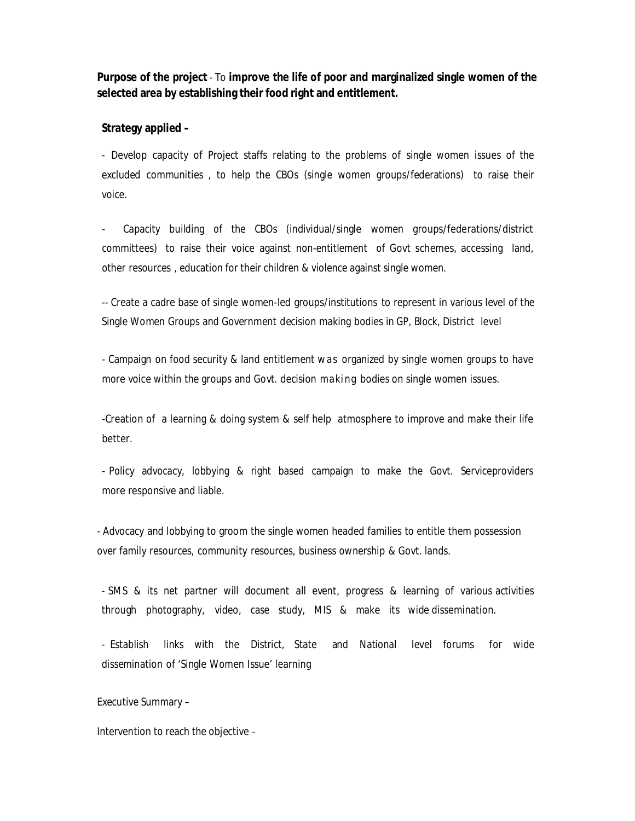**Purpose of the project** - To **improve the life of poor and marginalized single women of the selected area by establishing their food right and entitlement.**

#### **Strategy applied –**

- Develop capacity of Project staffs relating to the problems of single women issues of the excluded communities , to help the CBOs (single women groups/federations) to raise their voice.

Capacity building of the CBOs (individual/single women groups/federations/district committees) to raise their voice against non-entitlement of Govt schemes, accessing land, other resources , education for their children & violence against single women.

-- Create a cadre base of single women-led groups/institutions to represent in various level of the Single Women Groups and Government decision making bodies in GP, Block, District level

- Campaign on food security & land entitlement was organized by single women groups to have more voice within the groups and Govt. decision making bodies on single women issues.

-Creation of a learning & doing system & self help atmosphere to improve and make their life better.

- Policy advocacy, lobbying & right based campaign to make the Govt. Serviceproviders more responsive and liable.

- Advocacy and lobbying to groom the single women headed families to entitle them possession over family resources, community resources, business ownership & Govt. lands.

- SMS & its net partner will document all event, progress & learning of various activities through photography, video, case study, MIS & make its wide dissemination.

- Establish links with the District, State and National level forums for wide dissemination of 'Single Women Issue' learning

Executive Summary –

Intervention to reach the objective –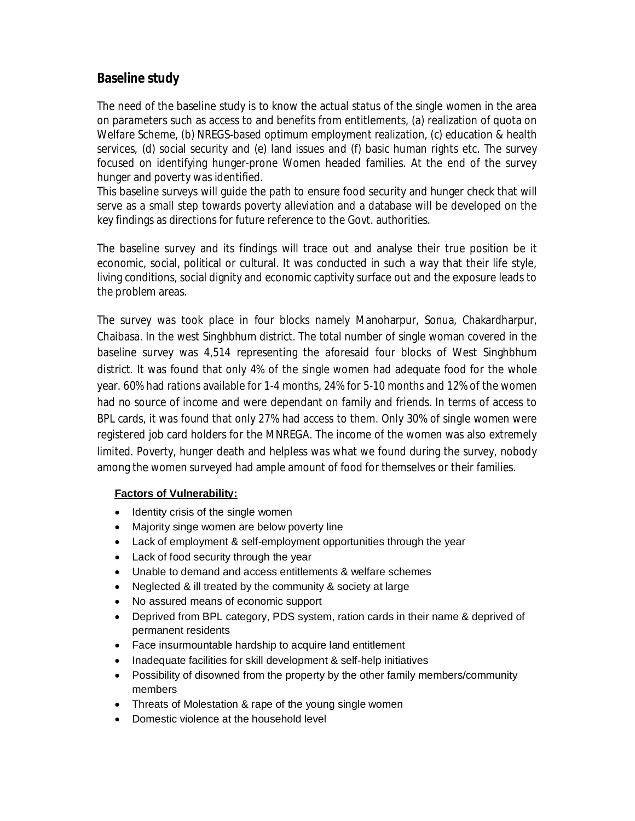## **Baseline study**

The need of the baseline study is to know the actual status of the single women in the area on parameters such as access to and benefits from entitlements, (a) realization of quota on Welfare Scheme, (b) NREGS-based optimum employment realization, (c) education & health services, (d) social security and (e) land issues and (f) basic human rights etc. The survey focused on identifying hunger-prone Women headed families. At the end of the survey hunger and poverty was identified.

This baseline surveys will guide the path to ensure food security and hunger check that will serve as a small step towards poverty alleviation and a database will be developed on the key findings as directions for future reference to the Govt. authorities.

The baseline survey and its findings will trace out and analyse their true position be it economic, social, political or cultural. It was conducted in such a way that their life style, living conditions, social dignity and economic captivity surface out and the exposure leads to the problem areas.

The survey was took place in four blocks namely Manoharpur, Sonua, Chakardharpur, Chaibasa. In the west Singhbhum district. The total number of single woman covered in the baseline survey was 4,514 representing the aforesaid four blocks of West Singhbhum district. It was found that only 4% of the single women had adequate food for the whole year. 60% had rations available for 1-4 months, 24% for 5-10 months and 12% of the women had no source of income and were dependant on family and friends. In terms of access to BPL cards, it was found that only 27% had access to them. Only 30% of single women were registered job card holders for the MNREGA. The income of the women was also extremely limited. Poverty, hunger death and helpless was what we found during the survey, nobody among the women surveyed had ample amount of food for themselves or their families.

### **Factors of Vulnerability:**

- Identity crisis of the single women
- Majority singe women are below poverty line
- Lack of employment & self-employment opportunities through the year
- Lack of food security through the year
- Unable to demand and access entitlements & welfare schemes
- Neglected & ill treated by the community & society at large
- No assured means of economic support
- Deprived from BPL category, PDS system, ration cards in their name & deprived of permanent residents
- Face insurmountable hardship to acquire land entitlement
- Inadequate facilities for skill development & self-help initiatives
- Possibility of disowned from the property by the other family members/community members
- Threats of Molestation & rape of the young single women
- Domestic violence at the household level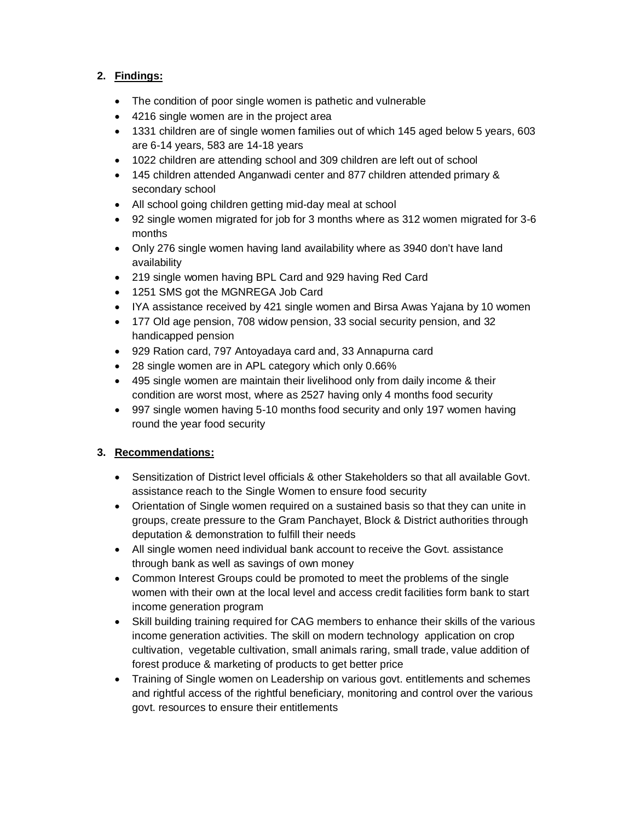### **2. Findings:**

- The condition of poor single women is pathetic and vulnerable
- 4216 single women are in the project area
- 1331 children are of single women families out of which 145 aged below 5 years, 603 are 6-14 years, 583 are 14-18 years
- 1022 children are attending school and 309 children are left out of school
- 145 children attended Anganwadi center and 877 children attended primary & secondary school
- All school going children getting mid-day meal at school
- 92 single women migrated for job for 3 months where as 312 women migrated for 3-6 months
- Only 276 single women having land availability where as 3940 don't have land availability
- 219 single women having BPL Card and 929 having Red Card
- 1251 SMS got the MGNREGA Job Card
- IYA assistance received by 421 single women and Birsa Awas Yajana by 10 women
- 177 Old age pension, 708 widow pension, 33 social security pension, and 32 handicapped pension
- 929 Ration card, 797 Antoyadaya card and, 33 Annapurna card
- 28 single women are in APL category which only 0.66%
- 495 single women are maintain their livelihood only from daily income & their condition are worst most, where as 2527 having only 4 months food security
- 997 single women having 5-10 months food security and only 197 women having round the year food security

## **3. Recommendations:**

- Sensitization of District level officials & other Stakeholders so that all available Govt. assistance reach to the Single Women to ensure food security
- Orientation of Single women required on a sustained basis so that they can unite in groups, create pressure to the Gram Panchayet, Block & District authorities through deputation & demonstration to fulfill their needs
- All single women need individual bank account to receive the Govt. assistance through bank as well as savings of own money
- Common Interest Groups could be promoted to meet the problems of the single women with their own at the local level and access credit facilities form bank to start income generation program
- Skill building training required for CAG members to enhance their skills of the various income generation activities. The skill on modern technology application on crop cultivation, vegetable cultivation, small animals raring, small trade, value addition of forest produce & marketing of products to get better price
- Training of Single women on Leadership on various govt. entitlements and schemes and rightful access of the rightful beneficiary, monitoring and control over the various govt. resources to ensure their entitlements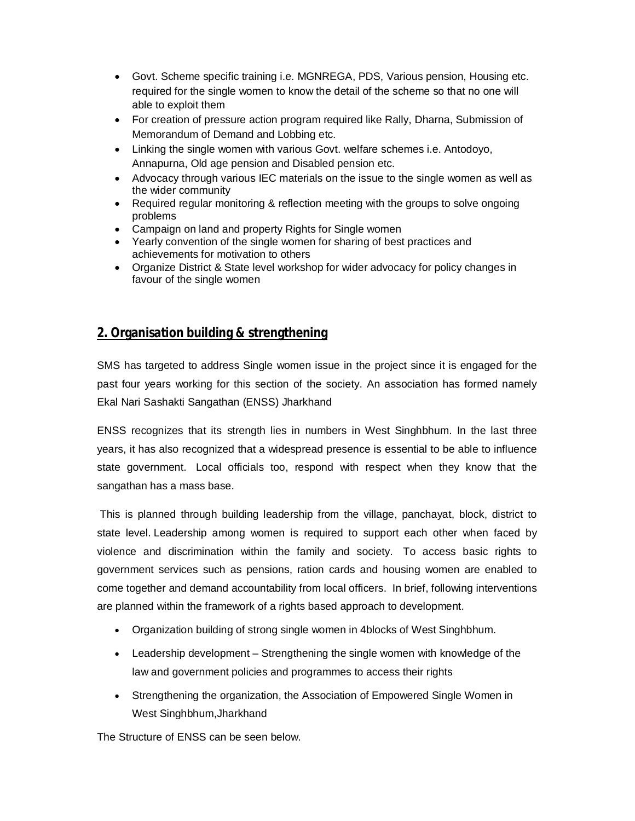- Govt. Scheme specific training i.e. MGNREGA, PDS, Various pension, Housing etc. required for the single women to know the detail of the scheme so that no one will able to exploit them
- For creation of pressure action program required like Rally, Dharna, Submission of Memorandum of Demand and Lobbing etc.
- Linking the single women with various Govt. welfare schemes i.e. Antodoyo, Annapurna, Old age pension and Disabled pension etc.
- Advocacy through various IEC materials on the issue to the single women as well as the wider community
- Required regular monitoring & reflection meeting with the groups to solve ongoing problems
- Campaign on land and property Rights for Single women
- Yearly convention of the single women for sharing of best practices and achievements for motivation to others
- Organize District & State level workshop for wider advocacy for policy changes in favour of the single women

## **2. Organisation building & strengthening**

SMS has targeted to address Single women issue in the project since it is engaged for the past four years working for this section of the society. An association has formed namely Ekal Nari Sashakti Sangathan (ENSS) Jharkhand

ENSS recognizes that its strength lies in numbers in West Singhbhum. In the last three years, it has also recognized that a widespread presence is essential to be able to influence state government. Local officials too, respond with respect when they know that the sangathan has a mass base.

This is planned through building leadership from the village, panchayat, block, district to state level. Leadership among women is required to support each other when faced by violence and discrimination within the family and society. To access basic rights to government services such as pensions, ration cards and housing women are enabled to come together and demand accountability from local officers. In brief, following interventions are planned within the framework of a rights based approach to development.

- Organization building of strong single women in 4blocks of West Singhbhum.
- Leadership development Strengthening the single women with knowledge of the law and government policies and programmes to access their rights
- Strengthening the organization, the Association of Empowered Single Women in West Singhbhum,Jharkhand

The Structure of ENSS can be seen below.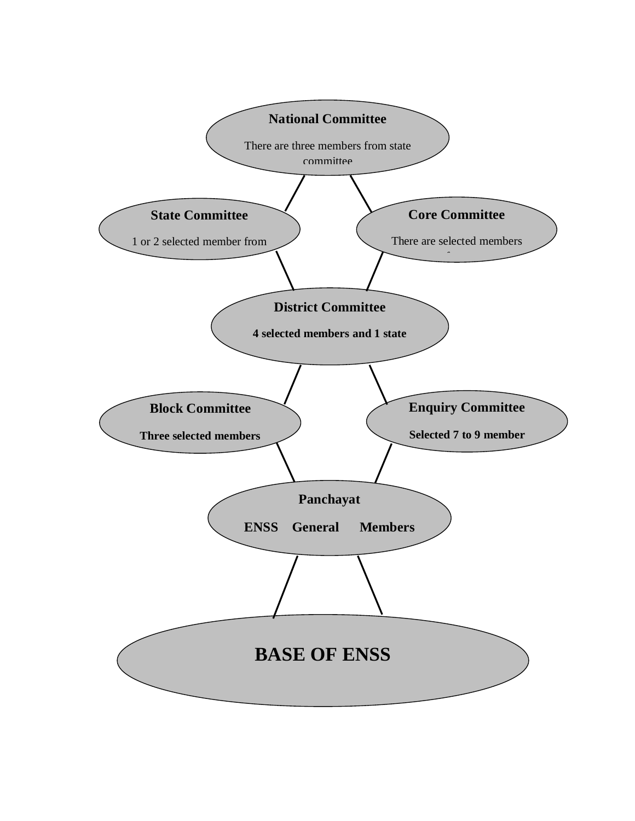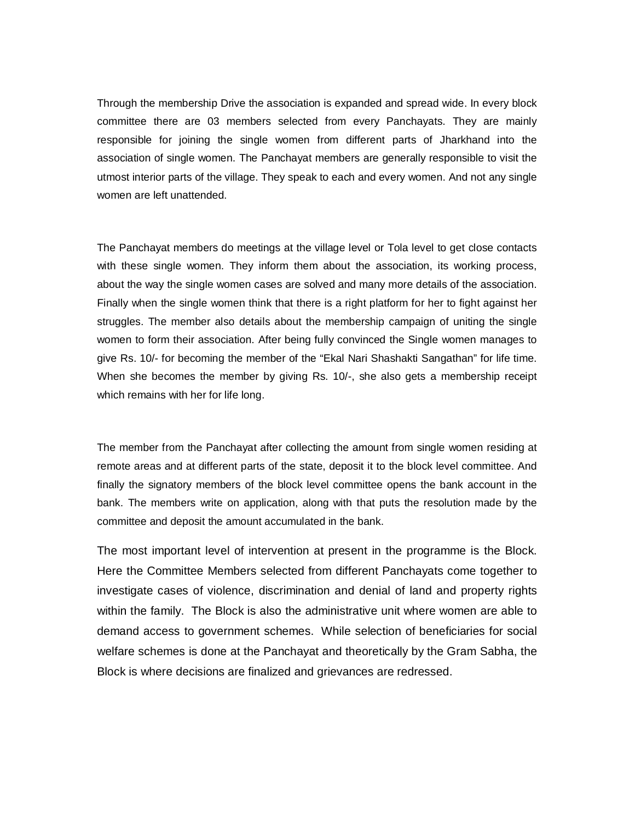Through the membership Drive the association is expanded and spread wide. In every block committee there are 03 members selected from every Panchayats. They are mainly responsible for joining the single women from different parts of Jharkhand into the association of single women. The Panchayat members are generally responsible to visit the utmost interior parts of the village. They speak to each and every women. And not any single women are left unattended.

The Panchayat members do meetings at the village level or Tola level to get close contacts with these single women. They inform them about the association, its working process, about the way the single women cases are solved and many more details of the association. Finally when the single women think that there is a right platform for her to fight against her struggles. The member also details about the membership campaign of uniting the single women to form their association. After being fully convinced the Single women manages to give Rs. 10/- for becoming the member of the "Ekal Nari Shashakti Sangathan" for life time. When she becomes the member by giving Rs. 10/-, she also gets a membership receipt which remains with her for life long.

The member from the Panchayat after collecting the amount from single women residing at remote areas and at different parts of the state, deposit it to the block level committee. And finally the signatory members of the block level committee opens the bank account in the bank. The members write on application, along with that puts the resolution made by the committee and deposit the amount accumulated in the bank.

The most important level of intervention at present in the programme is the Block. Here the Committee Members selected from different Panchayats come together to investigate cases of violence, discrimination and denial of land and property rights within the family. The Block is also the administrative unit where women are able to demand access to government schemes. While selection of beneficiaries for social welfare schemes is done at the Panchayat and theoretically by the Gram Sabha, the Block is where decisions are finalized and grievances are redressed.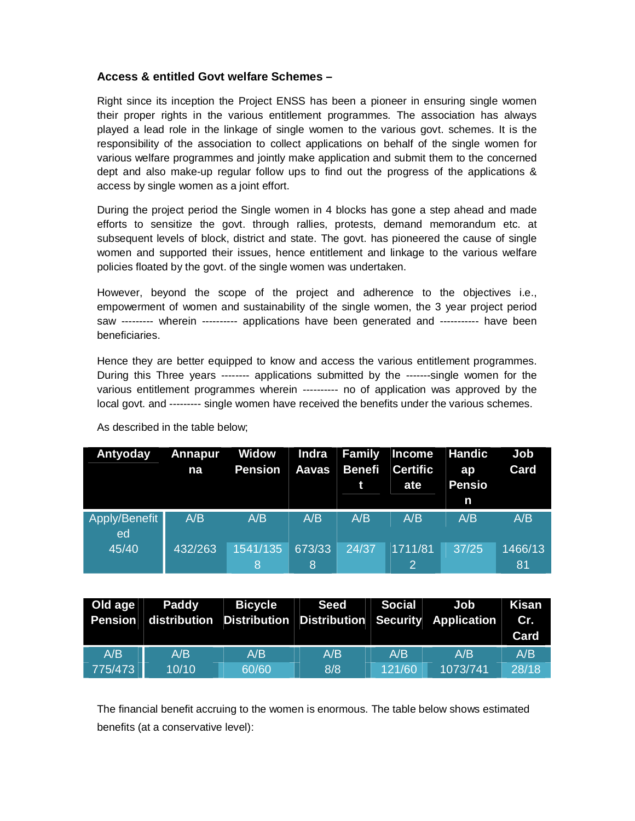### **Access & entitled Govt welfare Schemes –**

Right since its inception the Project ENSS has been a pioneer in ensuring single women their proper rights in the various entitlement programmes. The association has always played a lead role in the linkage of single women to the various govt. schemes. It is the responsibility of the association to collect applications on behalf of the single women for various welfare programmes and jointly make application and submit them to the concerned dept and also make-up regular follow ups to find out the progress of the applications & access by single women as a joint effort.

During the project period the Single women in 4 blocks has gone a step ahead and made efforts to sensitize the govt. through rallies, protests, demand memorandum etc. at subsequent levels of block, district and state. The govt. has pioneered the cause of single women and supported their issues, hence entitlement and linkage to the various welfare policies floated by the govt. of the single women was undertaken.

However, beyond the scope of the project and adherence to the objectives i.e., empowerment of women and sustainability of the single women, the 3 year project period saw --------- wherein ---------- applications have been generated and ----------- have been beneficiaries.

Hence they are better equipped to know and access the various entitlement programmes. During this Three years -------- applications submitted by the -------single women for the various entitlement programmes wherein ---------- no of application was approved by the local govt. and --------- single women have received the benefits under the various schemes.

| Antyoday            | Annapur<br>na | Widow<br>Pension           | Indra<br><b>Aavas</b> | <b>Family</b><br><b>Benefi</b><br>t | Income<br><b>Certific</b><br>ate | <b>Handic</b><br>ap<br><b>Pensio</b><br>n | <b>Job</b><br>Card |
|---------------------|---------------|----------------------------|-----------------------|-------------------------------------|----------------------------------|-------------------------------------------|--------------------|
| Apply/Benefit<br>ed | A/B           | A/B                        | A/B                   | A/B                                 | A/B                              | A/B                                       | A/B                |
| 45/40               | 432/263       | 1541/135<br>$\overline{8}$ | 673/33<br><b>8</b>    | 24/37                               | 1711/81<br>2                     | 37/25                                     | 1466/13<br>81      |

As described in the table below;

| Old age | Paddy | <b>Bicycle</b> | <b>Seed</b>                                                 | Social | Job      | <b>Kisan</b> |
|---------|-------|----------------|-------------------------------------------------------------|--------|----------|--------------|
| Pension |       |                | distribution Distribution Distribution Security Application |        |          | Cr.          |
|         |       |                |                                                             |        |          | Card         |
| A/B     | A/B   | A/B            | A/B                                                         | A/B    | A/B      | A/B          |
| 775/473 | 10/10 | 60/60          | 8/8                                                         | 121/60 | 1073/741 | 28/18        |

The financial benefit accruing to the women is enormous. The table below shows estimated benefits (at a conservative level):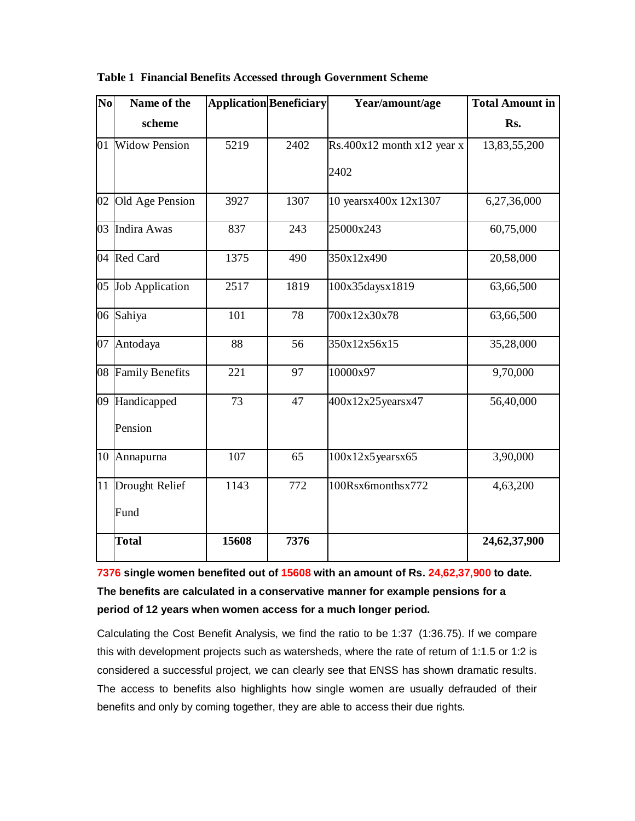| N <sub>0</sub> | Name of the          | <b>Application Beneficiary</b> |      | Year/amount/age                | <b>Total Amount in</b> |  |
|----------------|----------------------|--------------------------------|------|--------------------------------|------------------------|--|
|                | scheme               |                                |      |                                | Rs.                    |  |
| 01             | <b>Widow Pension</b> | 5219                           | 2402 | $Rs.400x12$ month $x12$ year x | 13,83,55,200           |  |
|                |                      |                                |      | 2402                           |                        |  |
| 02             | Old Age Pension      | 3927                           | 1307 | 10 yearsx400x 12x1307          | 6,27,36,000            |  |
| 03             | Indira Awas          | 837                            | 243  | 25000x243                      | 60,75,000              |  |
|                | 04 Red Card          | 1375                           | 490  | 350x12x490                     | 20,58,000              |  |
| 05             | Job Application      | 2517                           | 1819 | 100x35daysx1819                | 63,66,500              |  |
|                | 06 Sahiya            | 101                            | 78   | 700x12x30x78                   | 63,66,500              |  |
| 07             | Antodaya             | 88                             | 56   | 350x12x56x15                   | 35,28,000              |  |
|                | 08 Family Benefits   | 221                            | 97   | 10000x97                       | 9,70,000               |  |
|                | 09 Handicapped       | 73                             | 47   | 400x12x25yearsx47              | 56,40,000              |  |
|                | Pension              |                                |      |                                |                        |  |
| 10             | Annapurna            | 107                            | 65   | 100x12x5years x65              | 3,90,000               |  |
|                | 11 Drought Relief    | 1143                           | 772  | 100Rsx6monthsx772              | 4,63,200               |  |
|                | Fund                 |                                |      |                                |                        |  |
|                | <b>Total</b>         | 15608                          | 7376 |                                | 24,62,37,900           |  |

#### **Table 1 Financial Benefits Accessed through Government Scheme**

**7376 single women benefited out of 15608 with an amount of Rs. 24,62,37,900 to date. The benefits are calculated in a conservative manner for example pensions for a period of 12 years when women access for a much longer period.**

Calculating the Cost Benefit Analysis, we find the ratio to be 1:37 (1:36.75). If we compare this with development projects such as watersheds, where the rate of return of 1:1.5 or 1:2 is considered a successful project, we can clearly see that ENSS has shown dramatic results. The access to benefits also highlights how single women are usually defrauded of their benefits and only by coming together, they are able to access their due rights.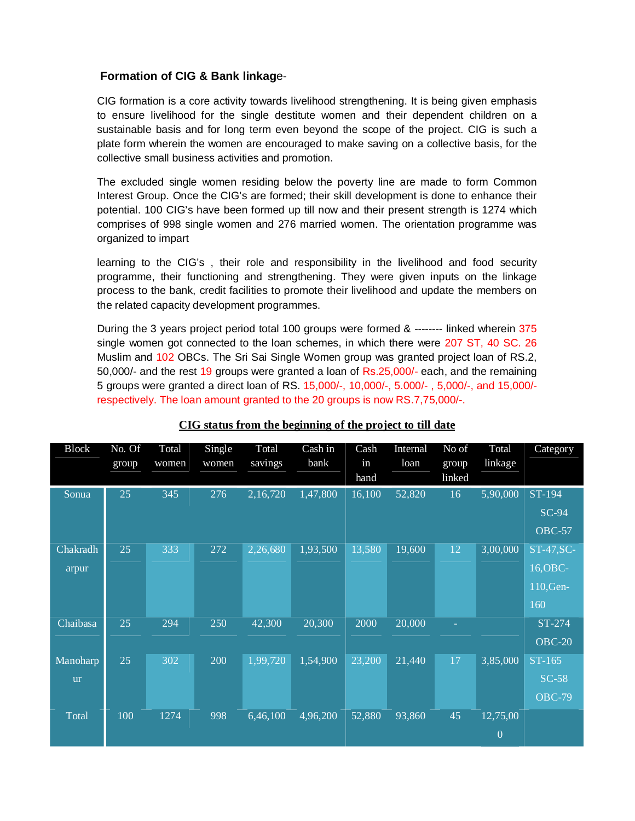### **Formation of CIG & Bank linkag**e-

CIG formation is a core activity towards livelihood strengthening. It is being given emphasis to ensure livelihood for the single destitute women and their dependent children on a sustainable basis and for long term even beyond the scope of the project. CIG is such a plate form wherein the women are encouraged to make saving on a collective basis, for the collective small business activities and promotion.

The excluded single women residing below the poverty line are made to form Common Interest Group. Once the CIG's are formed; their skill development is done to enhance their potential. 100 CIG's have been formed up till now and their present strength is 1274 which comprises of 998 single women and 276 married women. The orientation programme was organized to impart

learning to the CIG's , their role and responsibility in the livelihood and food security programme, their functioning and strengthening. They were given inputs on the linkage process to the bank, credit facilities to promote their livelihood and update the members on the related capacity development programmes.

During the 3 years project period total 100 groups were formed & -------- linked wherein 375 single women got connected to the loan schemes, in which there were 207 ST, 40 SC. 26 Muslim and 102 OBCs. The Sri Sai Single Women group was granted project loan of RS.2, 50,000/- and the rest 19 groups were granted a loan of Rs.25,000/- each, and the remaining 5 groups were granted a direct loan of RS. 15,000/-, 10,000/-, 5.000/- , 5,000/-, and 15,000/ respectively. The loan amount granted to the 20 groups is now RS.7,75,000/-.

| <b>Block</b>          | No. Of<br>group | Total<br>women | Single<br>women | Total<br>savings | Cash in<br>bank | Cash<br>in<br>hand | Internal<br>loan | No of<br>group<br>linked | Total<br>linkage           | Category                                   |
|-----------------------|-----------------|----------------|-----------------|------------------|-----------------|--------------------|------------------|--------------------------|----------------------------|--------------------------------------------|
| Sonua                 | 25              | 345            | 276             | 2,16,720         | 1,47,800        | 16,100             | 52,820           | 16                       | 5,90,000                   | ST-194<br>$SC-94$<br><b>OBC-57</b>         |
| Chakradh<br>arpur     | 25              | 333            | 272             | 2,26,680         | 1,93,500        | 13,580             | 19,600           | 12                       | 3,00,000                   | ST-47, SC-<br>16, OBC-<br>110, Gen-<br>160 |
| Chaibasa              | 25              | 294            | 250             | 42,300           | 20,300          | 2000               | 20,000           |                          |                            | $ST-274$<br><b>OBC-20</b>                  |
| Manoharp<br><b>ur</b> | 25              | 302            | 200             | 1,99,720         | 1,54,900        | 23,200             | 21,440           | 17                       | 3,85,000                   | ST-165<br>$SC-58$<br><b>OBC-79</b>         |
| <b>Total</b>          | 100             | 1274           | 998             | 6,46,100         | 4,96,200        | 52,880             | 93,860           | 45                       | 12,75,00<br>$\overline{0}$ |                                            |

## **CIG status from the beginning of the project to till date**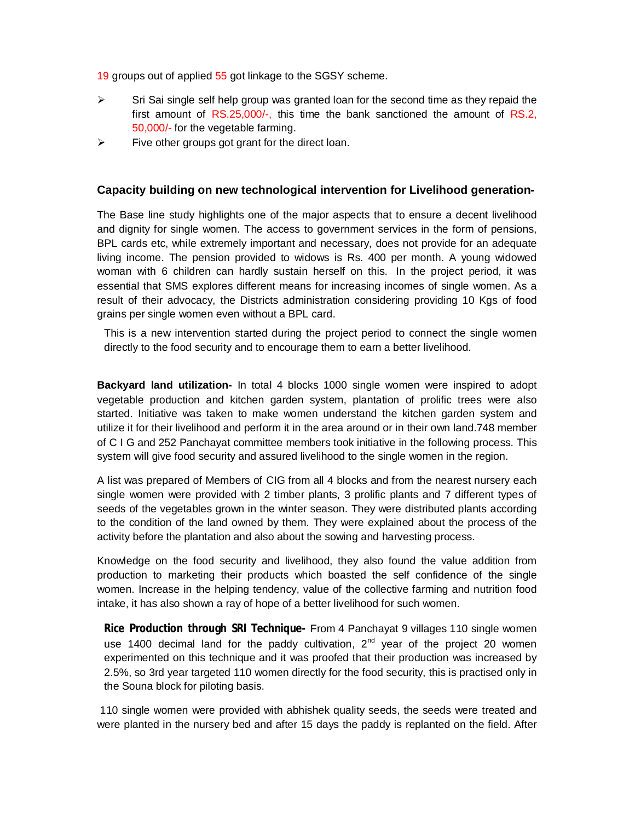19 groups out of applied 55 got linkage to the SGSY scheme.

- $\triangleright$  Sri Sai single self help group was granted loan for the second time as they repaid the first amount of RS.25,000/-, this time the bank sanctioned the amount of RS.2, 50,000/- for the vegetable farming.
- $\triangleright$  Five other groups got grant for the direct loan.

#### **Capacity building on new technological intervention for Livelihood generation-**

The Base line study highlights one of the major aspects that to ensure a decent livelihood and dignity for single women. The access to government services in the form of pensions, BPL cards etc, while extremely important and necessary, does not provide for an adequate living income. The pension provided to widows is Rs. 400 per month. A young widowed woman with 6 children can hardly sustain herself on this. In the project period, it was essential that SMS explores different means for increasing incomes of single women. As a result of their advocacy, the Districts administration considering providing 10 Kgs of food grains per single women even without a BPL card.

This is a new intervention started during the project period to connect the single women directly to the food security and to encourage them to earn a better livelihood.

**Backyard land utilization-** In total 4 blocks 1000 single women were inspired to adopt vegetable production and kitchen garden system, plantation of prolific trees were also started. Initiative was taken to make women understand the kitchen garden system and utilize it for their livelihood and perform it in the area around or in their own land.748 member of C I G and 252 Panchayat committee members took initiative in the following process. This system will give food security and assured livelihood to the single women in the region.

A list was prepared of Members of CIG from all 4 blocks and from the nearest nursery each single women were provided with 2 timber plants, 3 prolific plants and 7 different types of seeds of the vegetables grown in the winter season. They were distributed plants according to the condition of the land owned by them. They were explained about the process of the activity before the plantation and also about the sowing and harvesting process.

Knowledge on the food security and livelihood, they also found the value addition from production to marketing their products which boasted the self confidence of the single women. Increase in the helping tendency, value of the collective farming and nutrition food intake, it has also shown a ray of hope of a better livelihood for such women.

**Rice Production through SRI Technique-** From 4 Panchayat 9 villages 110 single women use 1400 decimal land for the paddy cultivation,  $2<sup>nd</sup>$  year of the project 20 women experimented on this technique and it was proofed that their production was increased by 2.5%, so 3rd year targeted 110 women directly for the food security, this is practised only in the Souna block for piloting basis.

110 single women were provided with abhishek quality seeds, the seeds were treated and were planted in the nursery bed and after 15 days the paddy is replanted on the field. After